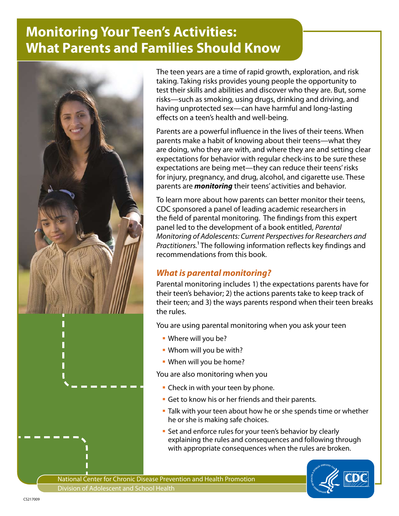# **Monitoring Your Teen's Activities: What Parents and Families Should Know**



The teen years are a time of rapid growth, exploration, and risk taking. Taking risks provides young people the opportunity to test their skills and abilities and discover who they are. But, some risks—such as smoking, using drugs, drinking and driving, and having unprotected sex—can have harmful and long-lasting effects on a teen's health and well-being.

Parents are a powerful influence in the lives of their teens. When parents make a habit of knowing about their teens—what they are doing, who they are with, and where they are and setting clear expectations for behavior with regular check-ins to be sure these expectations are being met—they can reduce their teens' risks for injury, pregnancy, and drug, alcohol, and cigarette use. These parents are *monitoring* their teens' activities and behavior.

To learn more about how parents can better monitor their teens, CDC sponsored a panel of leading academic researchers in the field of parental monitoring. The findings from this expert panel led to the development of a book entitled, *Parental Monitoring of Adolescents: Current Perspectives for Researchers and Practitioners.* The following information reflects key findings and recommendations from this book.

## *What is parental monitoring?*

Parental monitoring includes 1) the expectations parents have for their teen's behavior; 2) the actions parents take to keep track of their teen; and 3) the ways parents respond when their teen breaks the rules.

You are using parental monitoring when you ask your teen

- Where will you be?
- Whom will you be with?
- When will you be home?

You are also monitoring when you

- **Check in with your teen by phone.**
- Get to know his or her friends and their parents.
- **Talk with your teen about how he or she spends time or whether** he or she is making safe choices.
- **Set and enforce rules for your teen's behavior by clearly** explaining the rules and consequences and following through with appropriate consequences when the rules are broken.



National Center for Chronic Disease Prevention and Health Promotion Division of Adolescent and School Health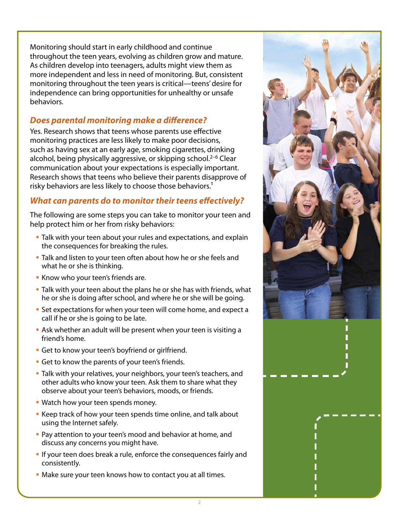Monitoring should start in early childhood and continue throughout the teen years, evolving as children grow and mature. As children develop into teenagers, adults might view them as more independent and less in need of monitoring. But, consistent monitoring throughout the teen years is critical—teens' desire for independence can bring opportunities for unhealthy or unsafe behaviors.

### *Does parental monitoring make a difference?*

Yes. Research shows that teens whose parents use effective monitoring practices are less likely to make poor decisions, such as having sex at an early age, smoking cigarettes, drinking alcohol, being physically aggressive, or skipping school.<sup>2–6</sup> Clear communication about your expectations is especially important. Research shows that teens who believe their parents disapprove of risky behaviors are less likely to choose those behaviors.<sup>1</sup>

# *What can parents do to monitor their teens effectively?*

The following are some steps you can take to monitor your teen and help protect him or her from risky behaviors:

- **Talk with your teen about your rules and expectations, and explain** the consequences for breaking the rules.
- **Talk and listen to your teen often about how he or she feels and** what he or she is thinking.
- **Know who your teen's friends are.**
- **Talk with your teen about the plans he or she has with friends, what** he or she is doing after school, and where he or she will be going.
- Set expectations for when your teen will come home, and expect a call if he or she is going to be late.
- **Ask whether an adult will be present when your teen is visiting a** friend's home.
- **Get to know your teen's boyfriend or girlfriend.**
- Get to know the parents of your teen's friends.
- **Talk with your relatives, your neighbors, your teen's teachers, and** other adults who know your teen. Ask them to share what they observe about your teen's behaviors, moods, or friends.
- **Watch how your teen spends money.**
- **Keep track of how your teen spends time online, and talk about** using the Internet safely.
- **Pay attention to your teen's mood and behavior at home, and** discuss any concerns you might have.
- **If your teen does break a rule, enforce the consequences fairly and** consistently.
- **Make sure your teen knows how to contact you at all times.**



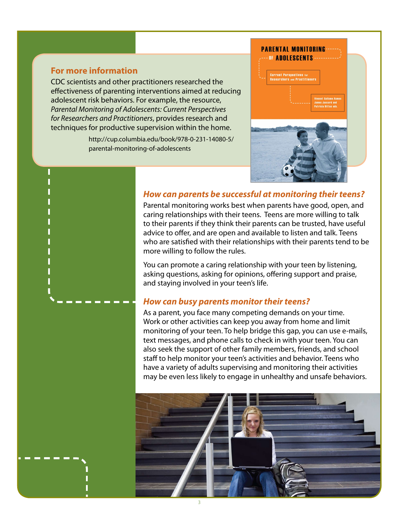### **For more information**

CDC scientists and other practitioners researched the effectiveness of parenting interventions aimed at reducing adolescent risk behaviors. For example, the resource, *Parental Monitoring of Adolescents: Current Perspectives for Researchers and Practitioners*, provides research and techniques for productive supervision within the home.

> http://cup.columbia.edu/book/978-0-231-14080-5/ parental-monitoring-of-adolescents



# П П

П

### *How can parents be successful at monitoring their teens?*

Parental monitoring works best when parents have good, open, and caring relationships with their teens. Teens are more willing to talk to their parents if they think their parents can be trusted, have useful advice to offer, and are open and available to listen and talk. Teens who are satisfied with their relationships with their parents tend to be more willing to follow the rules.

You can promote a caring relationship with your teen by listening, asking questions, asking for opinions, offering support and praise, and staying involved in your teen's life.

### *How can busy parents monitor their teens?*

As a parent, you face many competing demands on your time. Work or other activities can keep you away from home and limit monitoring of your teen. To help bridge this gap, you can use e-mails, text messages, and phone calls to check in with your teen. You can also seek the support of other family members, friends, and school staff to help monitor your teen's activities and behavior. Teens who have a variety of adults supervising and monitoring their activities may be even less likely to engage in unhealthy and unsafe behaviors.